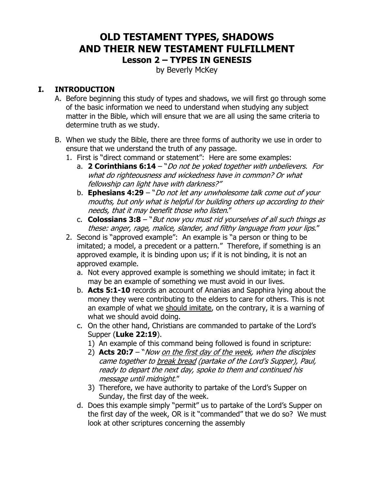## **OLD TESTAMENT TYPES, SHADOWS AND THEIR NEW TESTAMENT FULFILLMENT Lesson 2 – TYPES IN GENESIS**

by Beverly McKey

## **I. INTRODUCTION**

- A. Before beginning this study of types and shadows, we will first go through some of the basic information we need to understand when studying any subject matter in the Bible, which will ensure that we are all using the same criteria to determine truth as we study.
- B. When we study the Bible, there are three forms of authority we use in order to ensure that we understand the truth of any passage.
	- 1. First is "direct command or statement": Here are some examples:
		- a. **2 Corinthians 6:14** "Do not be yoked together with unbelievers. For what do righteousness and wickedness have in common? Or what fellowship can light have with darkness?"
		- b. **Ephesians 4:29** "Do not let any unwholesome talk come out of your mouths, but only what is helpful for building others up according to their needs, that it may benefit those who listen."
		- c. **Colossians 3:8** "But now you must rid yourselves of all such things as these: anger, rage, malice, slander, and filthy language from your lips."
	- 2. Second is "approved example": An example is "a person or thing to be imitated; a model, a precedent or a pattern." Therefore, if something is an approved example, it is binding upon us; if it is not binding, it is not an approved example.
		- a. Not every approved example is something we should imitate; in fact it may be an example of something we must avoid in our lives.
		- b. **Acts 5:1-10** records an account of Ananias and Sapphira lying about the money they were contributing to the elders to care for others. This is not an example of what we should imitate, on the contrary, it is a warning of what we should avoid doing.
		- c. On the other hand, Christians are commanded to partake of the Lord's Supper (**Luke 22:19**).
			- 1) An example of this command being followed is found in scripture:
			- 2) **Acts 20:7**  "Now on the first day of the week, when the disciples came together to break bread (partake of the Lord's Supper), Paul, ready to depart the next day, spoke to them and continued his message until midnight."
			- 3) Therefore, we have authority to partake of the Lord's Supper on Sunday, the first day of the week.
		- d. Does this example simply "permit" us to partake of the Lord's Supper on the first day of the week, OR is it "commanded" that we do so? We must look at other scriptures concerning the assembly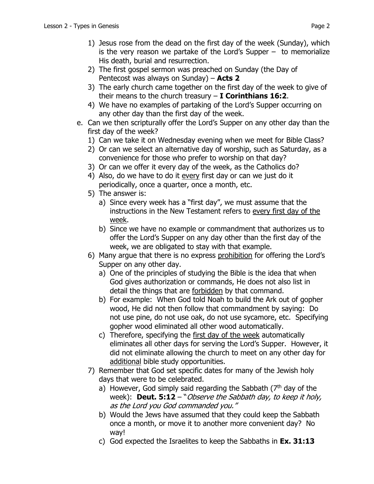- 1) Jesus rose from the dead on the first day of the week (Sunday), which is the very reason we partake of the Lord's Supper  $-$  to memorialize His death, burial and resurrection.
- 2) The first gospel sermon was preached on Sunday (the Day of Pentecost was always on Sunday) – **Acts 2**
- 3) The early church came together on the first day of the week to give of their means to the church treasury – **I Corinthians 16:2**.
- 4) We have no examples of partaking of the Lord's Supper occurring on any other day than the first day of the week.
- e. Can we then scripturally offer the Lord's Supper on any other day than the first day of the week?
	- 1) Can we take it on Wednesday evening when we meet for Bible Class?
	- 2) Or can we select an alternative day of worship, such as Saturday, as a convenience for those who prefer to worship on that day?
	- 3) Or can we offer it every day of the week, as the Catholics do?
	- 4) Also, do we have to do it every first day or can we just do it periodically, once a quarter, once a month, etc.
	- 5) The answer is:
		- a) Since every week has a "first day", we must assume that the instructions in the New Testament refers to every first day of the week.
		- b) Since we have no example or commandment that authorizes us to offer the Lord's Supper on any day other than the first day of the week, we are obligated to stay with that example.
	- 6) Many argue that there is no express prohibition for offering the Lord's Supper on any other day.
		- a) One of the principles of studying the Bible is the idea that when God gives authorization or commands, He does not also list in detail the things that are forbidden by that command.
		- b) For example: When God told Noah to build the Ark out of gopher wood, He did not then follow that commandment by saying: Do not use pine, do not use oak, do not use sycamore, etc. Specifying gopher wood eliminated all other wood automatically.
		- c) Therefore, specifying the first day of the week automatically eliminates all other days for serving the Lord's Supper. However, it did not eliminate allowing the church to meet on any other day for additional bible study opportunities.
	- 7) Remember that God set specific dates for many of the Jewish holy days that were to be celebrated.
		- a) However, God simply said regarding the Sabbath  $(7<sup>th</sup>$  day of the week): **Deut. 5:12** – "Observe the Sabbath day, to keep it holy, as the Lord you God commanded you."
		- b) Would the Jews have assumed that they could keep the Sabbath once a month, or move it to another more convenient day? No way!
		- c) God expected the Israelites to keep the Sabbaths in **Ex. 31:13**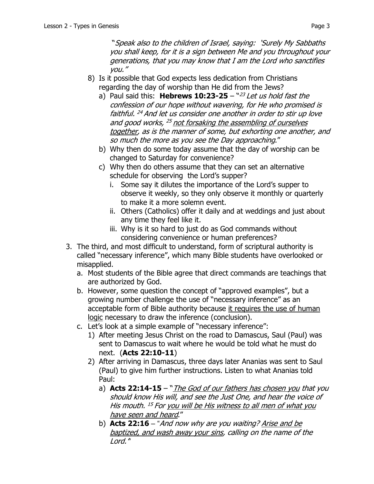"Speak also to the children of Israel, saying: 'Surely My Sabbaths you shall keep, for it is a sign between Me and you throughout your generations, that you may know that I am the Lord who sanctifies you."

- 8) Is it possible that God expects less dedication from Christians regarding the day of worship than He did from the Jews?
	- a) Paul said this: **Hebrews 10:23-25** "23 Let us hold fast the confession of our hope without wavering, for He who promised is faithful. <sup>24</sup> And let us consider one another in order to stir up love and good works, <sup>25</sup> not forsaking the assembling of ourselves together, as is the manner of some, but exhorting one another, and so much the more as you see the Day approaching."
	- b) Why then do some today assume that the day of worship can be changed to Saturday for convenience?
	- c) Why then do others assume that they can set an alternative schedule for observing the Lord's supper?
		- i. Some say it dilutes the importance of the Lord's supper to observe it weekly, so they only observe it monthly or quarterly to make it a more solemn event.
		- ii. Others (Catholics) offer it daily and at weddings and just about any time they feel like it.
		- iii. Why is it so hard to just do as God commands without considering convenience or human preferences?
- 3. The third, and most difficult to understand, form of scriptural authority is called "necessary inference", which many Bible students have overlooked or misapplied.
	- a. Most students of the Bible agree that direct commands are teachings that are authorized by God.
	- b. However, some question the concept of "approved examples", but a growing number challenge the use of "necessary inference" as an acceptable form of Bible authority because it requires the use of human logic necessary to draw the inference (conclusion).
	- c. Let's look at a simple example of "necessary inference":
		- 1) After meeting Jesus Christ on the road to Damascus, Saul (Paul) was sent to Damascus to wait where he would be told what he must do next. (**Acts 22:10-11**)
		- 2) After arriving in Damascus, three days later Ananias was sent to Saul (Paul) to give him further instructions. Listen to what Ananias told Paul:
			- a) **Acts 22:14-15**  "The God of our fathers has chosen you that you should know His will, and see the Just One, and hear the voice of His mouth.<sup>15</sup> For you will be His witness to all men of what you have seen and heard."
			- b) **Acts 22:16** "And now why are you waiting? Arise and be baptized, and wash away your sins, calling on the name of the Lord.'*"*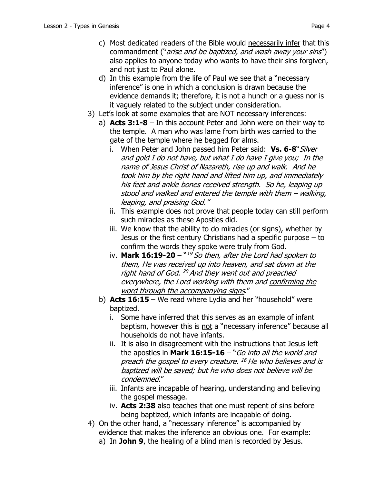- c) Most dedicated readers of the Bible would necessarily infer that this commandment ("arise and be baptized, and wash away your sins") also applies to anyone today who wants to have their sins forgiven, and not just to Paul alone.
- d) In this example from the life of Paul we see that a "necessary inference" is one in which a conclusion is drawn because the evidence demands it; therefore, it is not a hunch or a guess nor is it vaguely related to the subject under consideration.
- 3) Let's look at some examples that are NOT necessary inferences:
	- a) **Acts 3:1-8** In this account Peter and John were on their way to the temple. A man who was lame from birth was carried to the gate of the temple where he begged for alms.
		- i. When Peter and John passed him Peter said: Vs. 6-8<sup>"</sup>Silver and gold I do not have, but what I do have I give you; In the name of Jesus Christ of Nazareth, rise up and walk. And he took him by the right hand and lifted him up, and immediately his feet and ankle bones received strength. So he, leaping up stood and walked and entered the temple with them – walking, leaping, and praising God."
		- ii. This example does not prove that people today can still perform such miracles as these Apostles did.
		- iii. We know that the ability to do miracles (or signs), whether by Jesus or the first century Christians had a specific purpose – to confirm the words they spoke were truly from God.
		- iv. **Mark 16:19-20** <sup>"19</sup> So then, after the Lord had spoken to them, He was received up into heaven, and sat down at the right hand of God.  $^{20}$  And they went out and preached everywhere, the Lord working with them and confirming the word through the accompanying signs."
	- b) **Acts 16:15**  We read where Lydia and her "household" were baptized.
		- i. Some have inferred that this serves as an example of infant baptism, however this is not a "necessary inference" because all households do not have infants.
		- ii. It is also in disagreement with the instructions that Jesus left the apostles in **Mark 16:15-16** – "Go into all the world and preach the gospel to every creature. <sup>16</sup> He who believes and is baptized will be saved; but he who does not believe will be condemned."
		- iii. Infants are incapable of hearing, understanding and believing the gospel message.
		- iv. **Acts 2:38** also teaches that one must repent of sins before being baptized, which infants are incapable of doing.
- 4) On the other hand, a "necessary inference" is accompanied by evidence that makes the inference an obvious one. For example:
	- a) In **John 9**, the healing of a blind man is recorded by Jesus.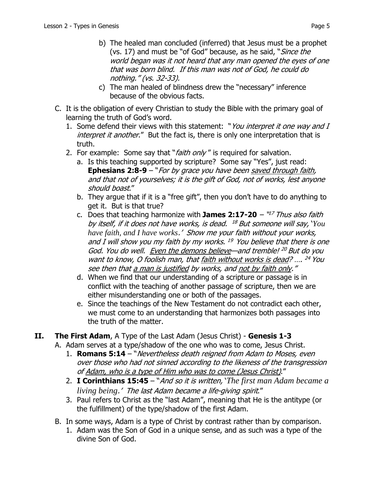- b) The healed man concluded (inferred) that Jesus must be a prophet (vs. 17) and must be "of God" because, as he said, "Since the world began was it not heard that any man opened the eyes of one that was born blind. If this man was not of God, he could do nothing." (vs. 32-33).
- c) The man healed of blindness drew the "necessary" inference because of the obvious facts.
- C. It is the obligation of every Christian to study the Bible with the primary goal of learning the truth of God's word.
	- 1. Some defend their views with this statement: "You interpret it one way and I interpret it another." But the fact is, there is only one interpretation that is truth.
	- 2. For example: Some say that "*faith only*" is required for salvation.
		- a. Is this teaching supported by scripture? Some say "Yes", just read: **Ephesians 2:8-9** – "*For by grace you have been saved through faith*, and that not of yourselves; it is the gift of God, not of works, lest anyone should boast."
		- b. They argue that if it is a "free gift", then you don't have to do anything to get it. But is that true?
		- c. Does that teaching harmonize with **James 2:17-20**  $^{117}$  Thus also faith by itself, if it does not have works, is dead. <sup>18</sup> But someone will say, *'You have faith, and I have works*.' Show me your faith without your works, and I will show you my faith by my works.  $^{19}$  You believe that there is one God. You do well. Even the demons believe—and tremble! <sup>20</sup> But do you want to know, O foolish man, that faith without works is dead? .... <sup>24</sup> You see then that a man is justified by works, and not by faith only."
		- d. When we find that our understanding of a scripture or passage is in conflict with the teaching of another passage of scripture, then we are either misunderstanding one or both of the passages.
		- e. Since the teachings of the New Testament do not contradict each other, we must come to an understanding that harmonizes both passages into the truth of the matter.
- **II. The First Adam**, A Type of the Last Adam (Jesus Christ) **Genesis 1-3**
	- A. Adam serves at a type/shadow of the one who was to come, Jesus Christ.
		- 1. **Romans 5:14** "Nevertheless death reigned from Adam to Moses, even over those who had not sinned according to the likeness of the transgression of Adam, who is a type of Him who was to come (Jesus Christ)."
		- 2. **I Corinthians 15:45**  "And so it is written, '*The first man Adam became a living being*.' The last Adam became a life-giving spirit."
		- 3. Paul refers to Christ as the "last Adam", meaning that He is the antitype (or the fulfillment) of the type/shadow of the first Adam.
	- B. In some ways, Adam is a type of Christ by contrast rather than by comparison.
		- 1. Adam was the Son of God in a unique sense, and as such was a type of the divine Son of God.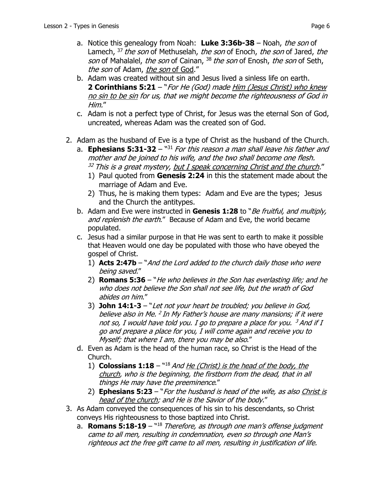- a. Notice this genealogy from Noah: **Luke 3:36b-38**  Noah, the son of Lamech, <sup>37</sup> the son of Methuselah, the son of Enoch, the son of Jared, the son of Mahalalel, the son of Cainan, <sup>38</sup> the son of Enosh, the son of Seth, the son of Adam, the son of God."
- b. Adam was created without sin and Jesus lived a sinless life on earth. **2 Corinthians 5:21** – "For He (God) made Him (Jesus Christ) who knew no sin to be sin for us, that we might become the righteousness of God in Him."
- c. Adam is not a perfect type of Christ, for Jesus was the eternal Son of God, uncreated, whereas Adam was the created son of God.
- 2. Adam as the husband of Eve is a type of Christ as the husband of the Church.
	- a. **Ephesians 5:31-32**  "31 For this reason a man shall leave his father and mother and be joined to his wife, and the two shall become one flesh.  $32$  This is a great mystery, but I speak concerning Christ and the church."
		- 1) Paul quoted from **Genesis 2:24** in this the statement made about the marriage of Adam and Eve.
		- 2) Thus, he is making them types: Adam and Eve are the types; Jesus and the Church the antitypes.
	- b. Adam and Eve were instructed in Genesis 1:28 to "Be fruitful, and multiply, and replenish the earth." Because of Adam and Eve, the world became populated.
	- c. Jesus had a similar purpose in that He was sent to earth to make it possible that Heaven would one day be populated with those who have obeyed the gospel of Christ.
		- 1) **Acts 2:47b**  "And the Lord added to the church daily those who were being saved."
		- 2) **Romans 5:36** "He who believes in the Son has everlasting life; and he who does not believe the Son shall not see life, but the wrath of God abides on him."
		- 3) **John 14:1-3**  "Let not your heart be troubled; you believe in God, believe also in Me. <sup>2</sup> In My Father's house are many mansions; if it were not so, I would have told you. I go to prepare a place for you.  $3$  And if I go and prepare a place for you, I will come again and receive you to Myself; that where I am, there you may be also."
	- d. Even as Adam is the head of the human race, so Christ is the Head of the Church.
		- 1) **Colossians 1:18** "18 And He (Christ) is the head of the body, the church, who is the beginning, the firstborn from the dead, that in all things He may have the preeminence."
		- 2) **Ephesians 5:23**  "For the husband is head of the wife, as also Christ is head of the church; and He is the Savior of the body."
- 3. As Adam conveyed the consequences of his sin to his descendants, so Christ conveys His righteousness to those baptized into Christ.
	- a. **Romans 5:18-19**  "18 Therefore, as through one man's offense judgment came to all men, resulting in condemnation, even so through one Man's righteous act the free gift came to all men, resulting in justification of life.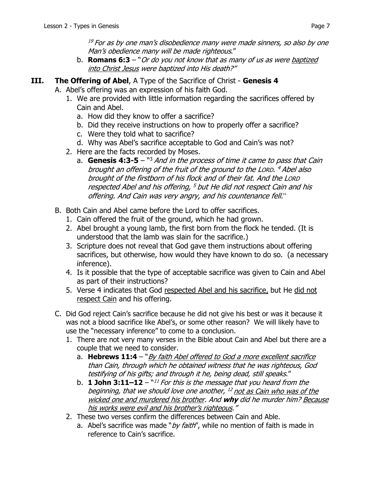$19$  For as by one man's disobedience many were made sinners, so also by one Man's obedience many will be made righteous."

- b. **Romans 6:3** "Or do you not know that as many of us as were baptized into Christ Jesus were baptized into His death?"
- **III. The Offering of Abel**, A Type of the Sacrifice of Christ **Genesis 4**
	- A. Abel's offering was an expression of his faith God.
		- 1. We are provided with little information regarding the sacrifices offered by Cain and Abel.
			- a. How did they know to offer a sacrifice?
			- b. Did they receive instructions on how to properly offer a sacrifice?
			- c. Were they told what to sacrifice?
			- d. Why was Abel's sacrifice acceptable to God and Cain's was not?
		- 2. Here are the facts recorded by Moses.
			- a. **Genesis 4:3-5**  "3 And in the process of time it came to pass that Cain brought an offering of the fruit of the ground to the LORD. <sup>4</sup> Abel also brought of the firstborn of his flock and of their fat. And the LORD respected Abel and his offering, <sup>5</sup> but He did not respect Cain and his offering. And Cain was very angry, and his countenance fell."
		- B. Both Cain and Abel came before the Lord to offer sacrifices.
			- 1. Cain offered the fruit of the ground, which he had grown.
			- 2. Abel brought a young lamb, the first born from the flock he tended. (It is understood that the lamb was slain for the sacrifice.)
			- 3. Scripture does not reveal that God gave them instructions about offering sacrifices, but otherwise, how would they have known to do so. (a necessary inference).
			- 4. Is it possible that the type of acceptable sacrifice was given to Cain and Abel as part of their instructions?
			- 5. Verse 4 indicates that God respected Abel and his sacrifice, but He did not respect Cain and his offering.
		- C. Did God reject Cain's sacrifice because he did not give his best or was it because it was not a blood sacrifice like Abel's, or some other reason? We will likely have to use the "necessary inference" to come to a conclusion.
			- 1. There are not very many verses in the Bible about Cain and Abel but there are a couple that we need to consider.
				- a. **Hebrews 11:4** "By faith Abel offered to God a more excellent sacrifice than Cain, through which he obtained witness that he was righteous, God testifying of his gifts; and through it he, being dead, still speaks."
				- b. **1 John 3:11–12**  $^{\text{N11}}$  For this is the message that you heard from the beginning, that we should love one another,  $^{12}$  not as Cain who was of the wicked one and murdered his brother. And **why** did he murder him? Because his works were evil and his brother's righteous."
			- 2. These two verses confirm the differences between Cain and Able.
				- a. Abel's sacrifice was made " $by$  faith", while no mention of faith is made in reference to Cain's sacrifice.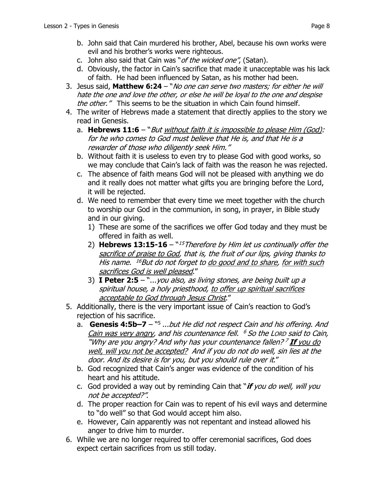- b. John said that Cain murdered his brother, Abel, because his own works were evil and his brother's works were righteous.
- c. John also said that Cain was "of the wicked one", (Satan).
- d. Obviously, the factor in Cain's sacrifice that made it unacceptable was his lack of faith. He had been influenced by Satan, as his mother had been.
- 3. Jesus said, **Matthew 6:24** "No one can serve two masters; for either he will hate the one and love the other, or else he will be loyal to the one and despise the other." This seems to be the situation in which Cain found himself.
- 4. The writer of Hebrews made a statement that directly applies to the story we read in Genesis.
	- a. **Hebrews 11:6** "*But without faith it is impossible to please Him (God):* for he who comes to God must believe that He is, and that He is a rewarder of those who diligently seek Him."
	- b. Without faith it is useless to even try to please God with good works, so we may conclude that Cain's lack of faith was the reason he was rejected.
	- c. The absence of faith means God will not be pleased with anything we do and it really does not matter what gifts you are bringing before the Lord, it will be rejected.
	- d. We need to remember that every time we meet together with the church to worship our God in the communion, in song, in prayer, in Bible study and in our giving.
		- 1) These are some of the sacrifices we offer God today and they must be offered in faith as well.
		- 2) **Hebrews 13:15-16**  "<sup>15</sup>Therefore by Him let us continually offer the sacrifice of praise to God, that is, the fruit of our lips, giving thanks to His name. <sup>16</sup>But do not forget to do good and to share, for with such sacrifices God is well pleased."
		- 3) **I Peter 2:5**  "...you also, as living stones, are being built up a spiritual house, a holy priesthood, to offer up spiritual sacrifices acceptable to God through Jesus Christ."
- 5. Additionally, there is the very important issue of Cain's reaction to God's rejection of his sacrifice.
	- a. **Genesis 4:5b–7** "5 ...but He did not respect Cain and his offering. And Cain was very angry, and his countenance fell.  $6$  So the LORD said to Cain, "Why are you angry? And why has your countenance fallen?<sup>7</sup> If you do well, will you not be accepted? And if you do not do well, sin lies at the door. And its desire is for you, but you should rule over it."
	- b. God recognized that Cain's anger was evidence of the condition of his heart and his attitude.
	- c. God provided a way out by reminding Cain that "**if** you do well, will you not be accepted?".
	- d. The proper reaction for Cain was to repent of his evil ways and determine to "do well" so that God would accept him also.
	- e. However, Cain apparently was not repentant and instead allowed his anger to drive him to murder.
- 6. While we are no longer required to offer ceremonial sacrifices, God does expect certain sacrifices from us still today.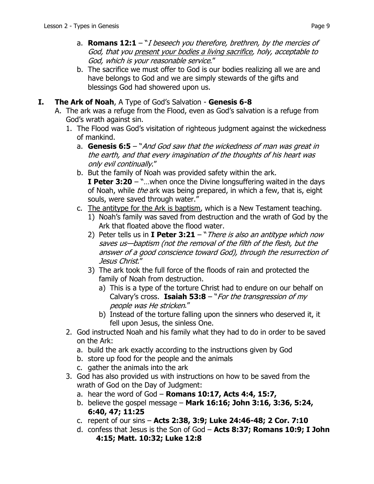- a. **Romans 12:1**  "I beseech you therefore, brethren, by the mercies of God, that you present your bodies a living sacrifice, holy, acceptable to God, which is your reasonable service."
- b. The sacrifice we must offer to God is our bodies realizing all we are and have belongs to God and we are simply stewards of the gifts and blessings God had showered upon us.

## **I. The Ark of Noah**, A Type of God's Salvation - **Genesis 6-8**

- A. The ark was a refuge from the Flood, even as God's salvation is a refuge from God's wrath against sin.
	- 1. The Flood was God's visitation of righteous judgment against the wickedness of mankind.
		- a. **Genesis 6:5** "And God saw that the wickedness of man was great in the earth, and that every imagination of the thoughts of his heart was only evil continually."
		- b. But the family of Noah was provided safety within the ark. **I Peter 3:20** – "…when once the Divine longsuffering waited in the days of Noah, while *the* ark was being prepared, in which a few, that is, eight souls, were saved through water."
		- c. The antitype for the Ark is baptism, which is a New Testament teaching.
			- 1) Noah's family was saved from destruction and the wrath of God by the Ark that floated above the flood water.
			- 2) Peter tells us in **I Peter 3:21** "There is also an antitype which now saves us—baptism (not the removal of the filth of the flesh, but the answer of a good conscience toward God), through the resurrection of Jesus Christ."
			- 3) The ark took the full force of the floods of rain and protected the family of Noah from destruction.
				- a) This is a type of the torture Christ had to endure on our behalf on Calvary's cross. **Isaiah 53:8** – "For the transgression of my people was He stricken."
				- b) Instead of the torture falling upon the sinners who deserved it, it fell upon Jesus, the sinless One.
	- 2. God instructed Noah and his family what they had to do in order to be saved on the Ark:
		- a. build the ark exactly according to the instructions given by God
		- b. store up food for the people and the animals
		- c. gather the animals into the ark
	- 3. God has also provided us with instructions on how to be saved from the wrath of God on the Day of Judgment:
		- a. hear the word of God **Romans 10:17, Acts 4:4, 15:7,**
		- b. believe the gospel message **Mark 16:16; John 3:16, 3:36, 5:24, 6:40, 47; 11:25**
		- c. repent of our sins **Acts 2:38, 3:9; Luke 24:46-48; 2 Cor. 7:10**
		- d. confess that Jesus is the Son of God **Acts 8:37; Romans 10:9; I John 4:15; Matt. 10:32; Luke 12:8**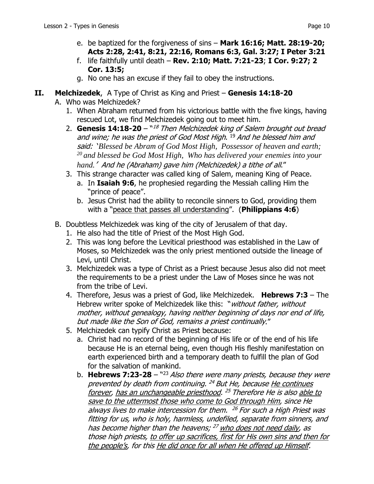- e. be baptized for the forgiveness of sins **Mark 16:16; Matt. 28:19-20; Acts 2:28, 2:41, 8:21, 22:16, Romans 6:3, Gal. 3:27; I Peter 3:21**
- f. life faithfully until death **Rev. 2:10; Matt. 7:21-23**; **I Cor. 9:27; 2 Cor. 13:5;**
- g. No one has an excuse if they fail to obey the instructions.
- **II. Melchizedek**, A Type of Christ as King and Priest **Genesis 14:18-20**
	- A. Who was Melchizedek?
		- 1. When Abraham returned from his victorious battle with the five kings, having rescued Lot, we find Melchizedek going out to meet him.
		- 2. **Genesis 14:18-20** "<sup>18</sup> Then Melchizedek king of Salem brought out bread and wine; he was the priest of God Most High. <sup>19</sup> And he blessed him and said: '*Blessed be Abram of God Most High, Possessor of heaven and earth; 20 and blessed be God Most High, Who has delivered your enemies into your hand.*' And he (Abraham) gave him (Melchizedek) a tithe of all."
		- 3. This strange character was called king of Salem, meaning King of Peace.
			- a. In **Isaiah 9:6**, he prophesied regarding the Messiah calling Him the "prince of peace".
			- b. Jesus Christ had the ability to reconcile sinners to God, providing them with a "peace that passes all understanding". (**Philippians 4:6**)
	- B. Doubtless Melchizedek was king of the city of Jerusalem of that day.
		- 1. He also had the title of Priest of the Most High God.
		- 2. This was long before the Levitical priesthood was established in the Law of Moses, so Melchizedek was the only priest mentioned outside the lineage of Levi, until Christ.
		- 3. Melchizedek was a type of Christ as a Priest because Jesus also did not meet the requirements to be a priest under the Law of Moses since he was not from the tribe of Levi.
		- 4. Therefore, Jesus was a priest of God, like Melchizedek. **Hebrews 7:3** The Hebrew writer spoke of Melchizedek like this: "*without father, without* mother, without genealogy, having neither beginning of days nor end of life, but made like the Son of God, remains a priest continually."
		- 5. Melchizedek can typify Christ as Priest because:
			- a. Christ had no record of the beginning of His life or of the end of his life because He is an eternal being, even though His fleshly manifestation on earth experienced birth and a temporary death to fulfill the plan of God for the salvation of mankind.
			- b. **Hebrews 7:23-28** "23 Also there were many priests, because they were prevented by death from continuing.  $^{24}$  But He, because He continues forever, has an unchangeable priesthood. <sup>25</sup> Therefore He is also able to save to the uttermost those who come to God through Him, since He always lives to make intercession for them.  $^{26}$  For such a High Priest was fitting for us, who is holy, harmless, undefiled, separate from sinners, and has become higher than the heavens; <sup>27</sup> who does not need daily, as those high priests, to offer up sacrifices, first for His own sins and then for the people's, for this He did once for all when He offered up Himself.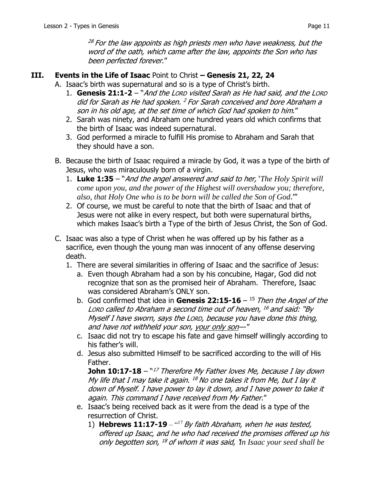$^{28}$  For the law appoints as high priests men who have weakness, but the word of the oath, which came after the law, appoints the Son who has been perfected forever."

## **III. Events in the Life of Isaac** Point to Christ **– Genesis 21, 22, 24**

- A. Isaac's birth was supernatural and so is a type of Christ's birth.
	- 1. **Genesis 21:1-2** "And the LORD visited Sarah as He had said, and the LORD did for Sarah as He had spoken. <sup>2</sup> For Sarah conceived and bore Abraham a son in his old age, at the set time of which God had spoken to him."
	- 2. Sarah was ninety, and Abraham one hundred years old which confirms that the birth of Isaac was indeed supernatural.
	- 3. God performed a miracle to fulfill His promise to Abraham and Sarah that they should have a son.
- B. Because the birth of Isaac required a miracle by God, it was a type of the birth of Jesus, who was miraculously born of a virgin.
	- 1. **Luke 1:35** "And the angel answered and said to her, '*The Holy Spirit will come upon you, and the power of the Highest will overshadow you; therefore, also, that Holy One who is to be born will be called the Son of God*.'"
	- 2. Of course, we must be careful to note that the birth of Isaac and that of Jesus were not alike in every respect, but both were supernatural births, which makes Isaac's birth a Type of the birth of Jesus Christ, the Son of God.
- C. Isaac was also a type of Christ when he was offered up by his father as a sacrifice, even though the young man was innocent of any offense deserving death.
	- 1. There are several similarities in offering of Isaac and the sacrifice of Jesus:
		- a. Even though Abraham had a son by his concubine, Hagar, God did not recognize that son as the promised heir of Abraham. Therefore, Isaac was considered Abraham's ONLY son.
		- b. God confirmed that idea in **Genesis 22:15-16**  15 Then the Angel of the LORD called to Abraham a second time out of heaven,  $^{16}$  and said: "By Myself I have sworn, says the LORD, because you have done this thing, and have not withheld your son, your only son—"
		- c. Isaac did not try to escape his fate and gave himself willingly according to his father's will.
		- d. Jesus also submitted Himself to be sacrificed according to the will of His Father.

**John 10:17-18** – "<sup>17</sup> Therefore My Father loves Me, because I lay down My life that I may take it again.  $^{18}$  No one takes it from Me, but I lay it down of Myself. I have power to lay it down, and I have power to take it again. This command I have received from My Father."

- e. Isaac's being received back as it were from the dead is a type of the resurrection of Christ.
	- 1) **Hebrews 11:17-19** "<sup>17</sup> By faith Abraham, when he was tested, offered up Isaac, and he who had received the promises offered up his only begotten son, 18 of whom it was said, '*In Isaac your seed shall be*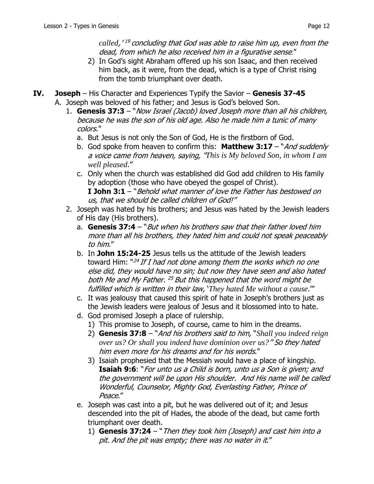called,<sup>'19</sup> concluding that God was able to raise him up, even from the dead, from which he also received him in a figurative sense."

- 2) In God's sight Abraham offered up his son Isaac, and then received him back, as it were, from the dead, which is a type of Christ rising from the tomb triumphant over death.
- **IV. Joseph**  His Character and Experiences Typify the Savior **Genesis 37-45** A. Joseph was beloved of his father; and Jesus is God's beloved Son.
	- 1. **Genesis 37:3** "Now Israel (Jacob) loved Joseph more than all his children, because he was the son of his old age. Also he made him a tunic of many colors."
		- a. But Jesus is not only the Son of God, He is the firstborn of God.
		- b. God spoke from heaven to confirm this: **Matthew 3:17**  "And suddenly a voice came from heaven, saying, "*This is My beloved Son, in whom I am well pleased*."
		- c. Only when the church was established did God add children to His family by adoption (those who have obeyed the gospel of Christ). **I John 3:1** – "Behold what manner of love the Father has bestowed on us, that we should be called children of God!"
	- 2. Joseph was hated by his brothers; and Jesus was hated by the Jewish leaders of His day (His brothers).
		- a. **Genesis 37:4** "But when his brothers saw that their father loved him more than all his brothers, they hated him and could not speak peaceably to him."
		- b. In **John 15:24-25** Jesus tells us the attitude of the Jewish leaders toward Him:  $"^{24}$  If I had not done among them the works which no one else did, they would have no sin; but now they have seen and also hated both Me and My Father. <sup>25</sup> But this happened that the word might be fulfilled which is written in their law, '*They hated Me without a cause*.'"
		- c. It was jealousy that caused this spirit of hate in Joseph's brothers just as the Jewish leaders were jealous of Jesus and it blossomed into to hate.
		- d. God promised Joseph a place of rulership.
			- 1) This promise to Joseph, of course, came to him in the dreams.
			- 2) **Genesis 37:8** "And his brothers said to him, "*Shall you indeed reign over us? Or shall you indeed have dominion over us?*" So they hated him even more for his dreams and for his words."
			- 3) Isaiah prophesied that the Messiah would have a place of kingship. **Isaiah 9:6**: "For unto us a Child is born, unto us a Son is given; and the government will be upon His shoulder. And His name will be called Wonderful, Counselor, Mighty God, Everlasting Father, Prince of Peace."
		- e. Joseph was cast into a pit, but he was delivered out of it; and Jesus descended into the pit of Hades, the abode of the dead, but came forth triumphant over death.
			- 1) **Genesis 37:24** "Then they took him (Joseph) and cast him into a pit. And the pit was empty; there was no water in it."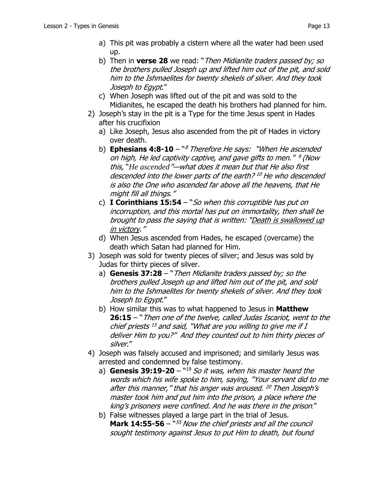- a) This pit was probably a cistern where all the water had been used up.
- b) Then in **verse 28** we read: "Then Midianite traders passed by; so the brothers pulled Joseph up and lifted him out of the pit, and sold him to the Ishmaelites for twenty shekels of silver. And they took Joseph to Egypt."
- c) When Joseph was lifted out of the pit and was sold to the Midianites, he escaped the death his brothers had planned for him.
- 2) Joseph's stay in the pit is a Type for the time Jesus spent in Hades after his crucifixion
	- a) Like Joseph, Jesus also ascended from the pit of Hades in victory over death.
	- b) **Ephesians 4:8-10** "<sup>8</sup> Therefore He says: "When He ascended on high, He led captivity captive, and gave gifts to men." <sup>9</sup> (Now this, "*He ascended*"—what does it mean but that He also first descended into the lower parts of the earth?<sup>10</sup> He who descended is also the One who ascended far above all the heavens, that He might fill all things."
	- c) **I Corinthians 15:54**  "So when this corruptible has put on incorruption, and this mortal has put on immortality, then shall be brought to pass the saying that is written: "Death is swallowed up in victory."
	- d) When Jesus ascended from Hades, he escaped (overcame) the death which Satan had planned for Him.
- 3) Joseph was sold for twenty pieces of silver; and Jesus was sold by Judas for thirty pieces of silver.
	- a) **Genesis 37:28**  "Then Midianite traders passed by; so the brothers pulled Joseph up and lifted him out of the pit, and sold him to the Ishmaelites for twenty shekels of silver. And they took Joseph to Egypt."
	- b) How similar this was to what happened to Jesus in **Matthew 26:15** – "Then one of the twelve, called Judas Iscariot, went to the chief priests  $^{15}$  and said, "What are you willing to give me if I deliver Him to you?" And they counted out to him thirty pieces of silver."
- 4) Joseph was falsely accused and imprisoned; and similarly Jesus was arrested and condemned by false testimony.
	- a) **Genesis 39:19-20**  $\frac{19}{19}$  So it was, when his master heard the words which his wife spoke to him, saying, "Your servant did to me after this manner," that his anger was aroused. <sup>20</sup> Then Joseph's master took him and put him into the prison, a place where the king's prisoners were confined. And he was there in the prison."
	- b) False witnesses played a large part in the trial of Jesus. **Mark 14:55-56** – "<sup>55</sup> Now the chief priests and all the council sought testimony against Jesus to put Him to death, but found